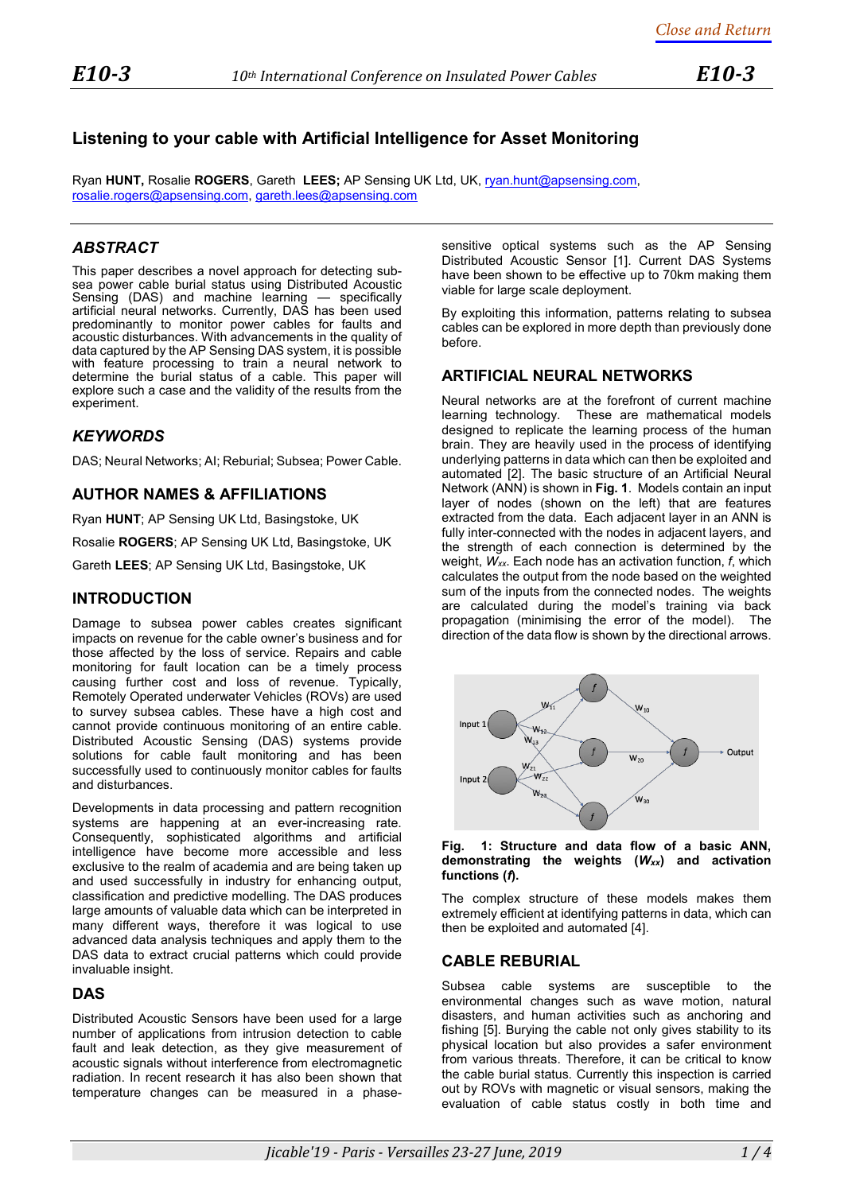# **Listening to your cable with Artificial Intelligence for Asset Monitoring**

Ryan **HUNT,** Rosalie **ROGERS**, Gareth **LEES;** AP Sensing UK Ltd, UK, [ryan.hunt@apsensing.com,](mailto:ryan.hunt@apsensing.com)  [rosalie.rogers@apsensing.com,](mailto:rosalie.rogers@apsensing.com) [gareth.lees@apsensing.com](mailto:gareth.lees@apsensing.com)

## *ABSTRACT*

This paper describes a novel approach for detecting subsea power cable burial status using Distributed Acoustic Sensing (DAS) and machine learning — specifically artificial neural networks. Currently, DAS has been used predominantly to monitor power cables for faults and acoustic disturbances. With advancements in the quality of data captured by the AP Sensing DAS system, it is possible with feature processing to train a neural network to determine the burial status of a cable. This paper will explore such a case and the validity of the results from the experiment.

## *KEYWORDS*

DAS; Neural Networks; AI; Reburial; Subsea; Power Cable.

## **AUTHOR NAMES & AFFILIATIONS**

Ryan **HUNT**; AP Sensing UK Ltd, Basingstoke, UK

Rosalie **ROGERS**; AP Sensing UK Ltd, Basingstoke, UK

Gareth **LEES**; AP Sensing UK Ltd, Basingstoke, UK

## **INTRODUCTION**

Damage to subsea power cables creates significant impacts on revenue for the cable owner's business and for those affected by the loss of service. Repairs and cable monitoring for fault location can be a timely process causing further cost and loss of revenue. Typically, Remotely Operated underwater Vehicles (ROVs) are used to survey subsea cables. These have a high cost and cannot provide continuous monitoring of an entire cable. Distributed Acoustic Sensing (DAS) systems provide solutions for cable fault monitoring and has been successfully used to continuously monitor cables for faults and disturbances.

Developments in data processing and pattern recognition systems are happening at an ever-increasing rate. Consequently, sophisticated algorithms and artificial intelligence have become more accessible and less exclusive to the realm of academia and are being taken up and used successfully in industry for enhancing output, classification and predictive modelling. The DAS produces large amounts of valuable data which can be interpreted in many different ways, therefore it was logical to use advanced data analysis techniques and apply them to the DAS data to extract crucial patterns which could provide invaluable insight.

## **DAS**

Distributed Acoustic Sensors have been used for a large number of applications from intrusion detection to cable fault and leak detection, as they give measurement of acoustic signals without interference from electromagnetic radiation. In recent research it has also been shown that temperature changes can be measured in a phasesensitive optical systems such as the AP Sensing Distributed Acoustic Sensor [1]. Current DAS Systems have been shown to be effective up to 70km making them viable for large scale deployment.

By exploiting this information, patterns relating to subsea cables can be explored in more depth than previously done before.

## **ARTIFICIAL NEURAL NETWORKS**

Neural networks are at the forefront of current machine learning technology. These are mathematical models designed to replicate the learning process of the human brain. They are heavily used in the process of identifying underlying patterns in data which can then be exploited and automated [2]. The basic structure of an Artificial Neural Network (ANN) is shown in **Fig. 1**. Models contain an input layer of nodes (shown on the left) that are features extracted from the data. Each adjacent layer in an ANN is fully inter-connected with the nodes in adjacent layers, and the strength of each connection is determined by the weight, *Wxx*. Each node has an activation function, *f*, which calculates the output from the node based on the weighted sum of the inputs from the connected nodes. The weights are calculated during the model's training via back propagation (minimising the error of the model). The direction of the data flow is shown by the directional arrows.



**Fig. 1: Structure and data flow of a basic ANN, demonstrating the weights (***Wxx***) and activation functions (***f***).**

The complex structure of these models makes them extremely efficient at identifying patterns in data, which can then be exploited and automated [4].

## **CABLE REBURIAL**

Subsea cable systems are susceptible to the environmental changes such as wave motion, natural disasters, and human activities such as anchoring and fishing [5]. Burying the cable not only gives stability to its physical location but also provides a safer environment from various threats. Therefore, it can be critical to know the cable burial status. Currently this inspection is carried out by ROVs with magnetic or visual sensors, making the evaluation of cable status costly in both time and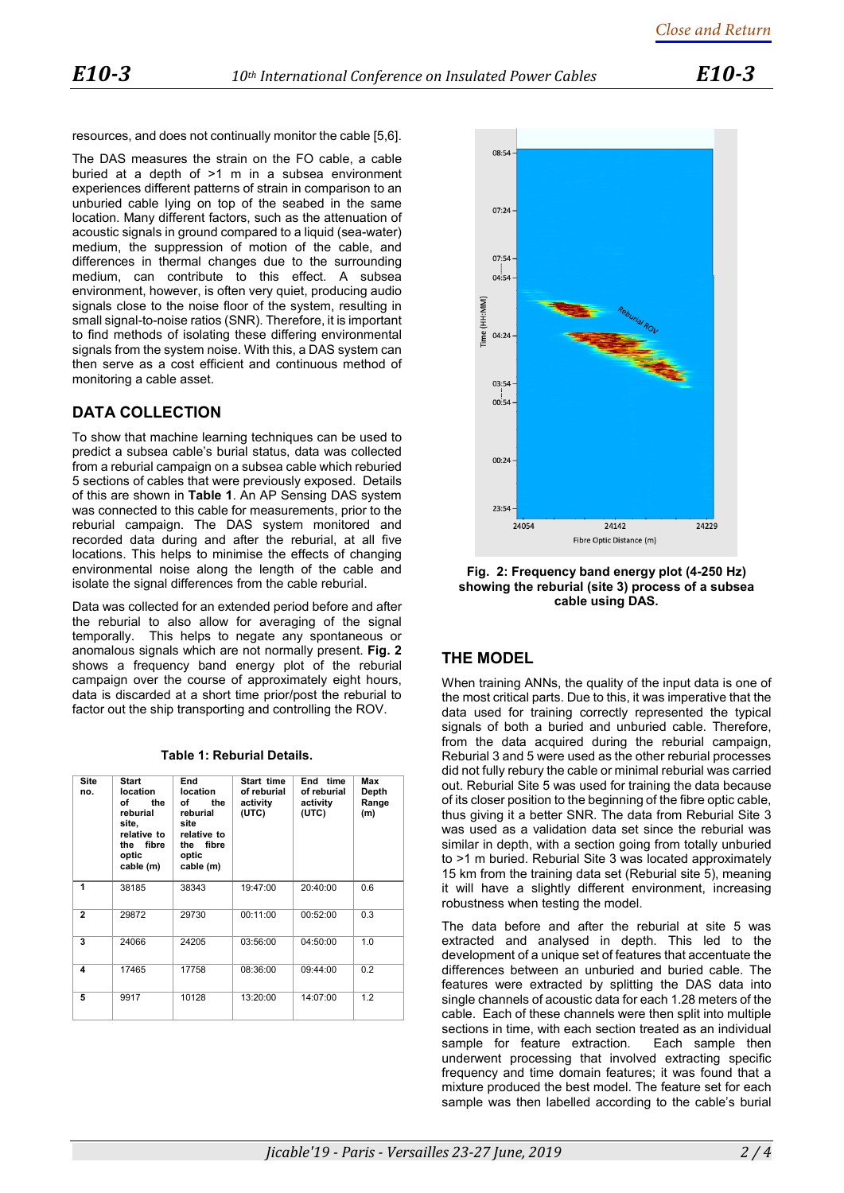resources, and does not continually monitor the cable [5,6].

The DAS measures the strain on the FO cable, a cable buried at a depth of >1 m in a subsea environment experiences different patterns of strain in comparison to an unburied cable lying on top of the seabed in the same location. Many different factors, such as the attenuation of acoustic signals in ground compared to a liquid (sea-water) medium, the suppression of motion of the cable, and differences in thermal changes due to the surrounding medium, can contribute to this effect. A subsea environment, however, is often very quiet, producing audio signals close to the noise floor of the system, resulting in small signal-to-noise ratios (SNR). Therefore, it is important to find methods of isolating these differing environmental signals from the system noise. With this, a DAS system can then serve as a cost efficient and continuous method of monitoring a cable asset.

## **DATA COLLECTION**

To show that machine learning techniques can be used to predict a subsea cable's burial status, data was collected from a reburial campaign on a subsea cable which reburied 5 sections of cables that were previously exposed. Details of this are shown in **Table 1**. An AP Sensing DAS system was connected to this cable for measurements, prior to the reburial campaign. The DAS system monitored and recorded data during and after the reburial, at all five locations. This helps to minimise the effects of changing environmental noise along the length of the cable and isolate the signal differences from the cable reburial.

Data was collected for an extended period before and after the reburial to also allow for averaging of the signal temporally. This helps to negate any spontaneous or anomalous signals which are not normally present. **Fig. 2** shows a frequency band energy plot of the reburial campaign over the course of approximately eight hours, data is discarded at a short time prior/post the reburial to factor out the ship transporting and controlling the ROV.

| Site<br>no.    | Start<br>location<br>the<br>of<br>reburial<br>site,<br>relative to<br>fibre<br>the<br>optic<br>cable (m) | End<br><b>location</b><br>of<br>the<br>reburial<br>site<br>relative to<br>the fibre<br>optic<br>cable (m) | Start time<br>of reburial<br>activity<br>(UTC) | End time<br>of reburial<br>activity<br>(UTC) | Max<br>Depth<br>Range<br>(m) |
|----------------|----------------------------------------------------------------------------------------------------------|-----------------------------------------------------------------------------------------------------------|------------------------------------------------|----------------------------------------------|------------------------------|
| 1              | 38185                                                                                                    | 38343                                                                                                     | 19:47:00                                       | 20:40:00                                     | 0.6                          |
| $\overline{2}$ | 29872                                                                                                    | 29730                                                                                                     | 00:11:00                                       | 00:52:00                                     | 0.3                          |
| 3              | 24066                                                                                                    | 24205                                                                                                     | 03:56:00                                       | 04:50:00                                     | 1.0                          |
| 4              | 17465                                                                                                    | 17758                                                                                                     | 08:36:00                                       | 09:44:00                                     | 0.2                          |
| 5              | 9917                                                                                                     | 10128                                                                                                     | 13:20:00                                       | 14:07:00                                     | 1.2                          |

### **Table 1: Reburial Details.**



**Fig. 2: Frequency band energy plot (4-250 Hz) showing the reburial (site 3) process of a subsea cable using DAS.**

## **THE MODEL**

When training ANNs, the quality of the input data is one of the most critical parts. Due to this, it was imperative that the data used for training correctly represented the typical signals of both a buried and unburied cable. Therefore, from the data acquired during the reburial campaign, Reburial 3 and 5 were used as the other reburial processes did not fully rebury the cable or minimal reburial was carried out. Reburial Site 5 was used for training the data because of its closer position to the beginning of the fibre optic cable, thus giving it a better SNR. The data from Reburial Site 3 was used as a validation data set since the reburial was similar in depth, with a section going from totally unburied to >1 m buried. Reburial Site 3 was located approximately 15 km from the training data set (Reburial site 5), meaning it will have a slightly different environment, increasing robustness when testing the model.

The data before and after the reburial at site 5 was extracted and analysed in depth. This led to the development of a unique set of features that accentuate the differences between an unburied and buried cable. The features were extracted by splitting the DAS data into single channels of acoustic data for each 1.28 meters of the cable. Each of these channels were then split into multiple sections in time, with each section treated as an individual sample for feature extraction. Each sample then underwent processing that involved extracting specific frequency and time domain features; it was found that a mixture produced the best model. The feature set for each sample was then labelled according to the cable's burial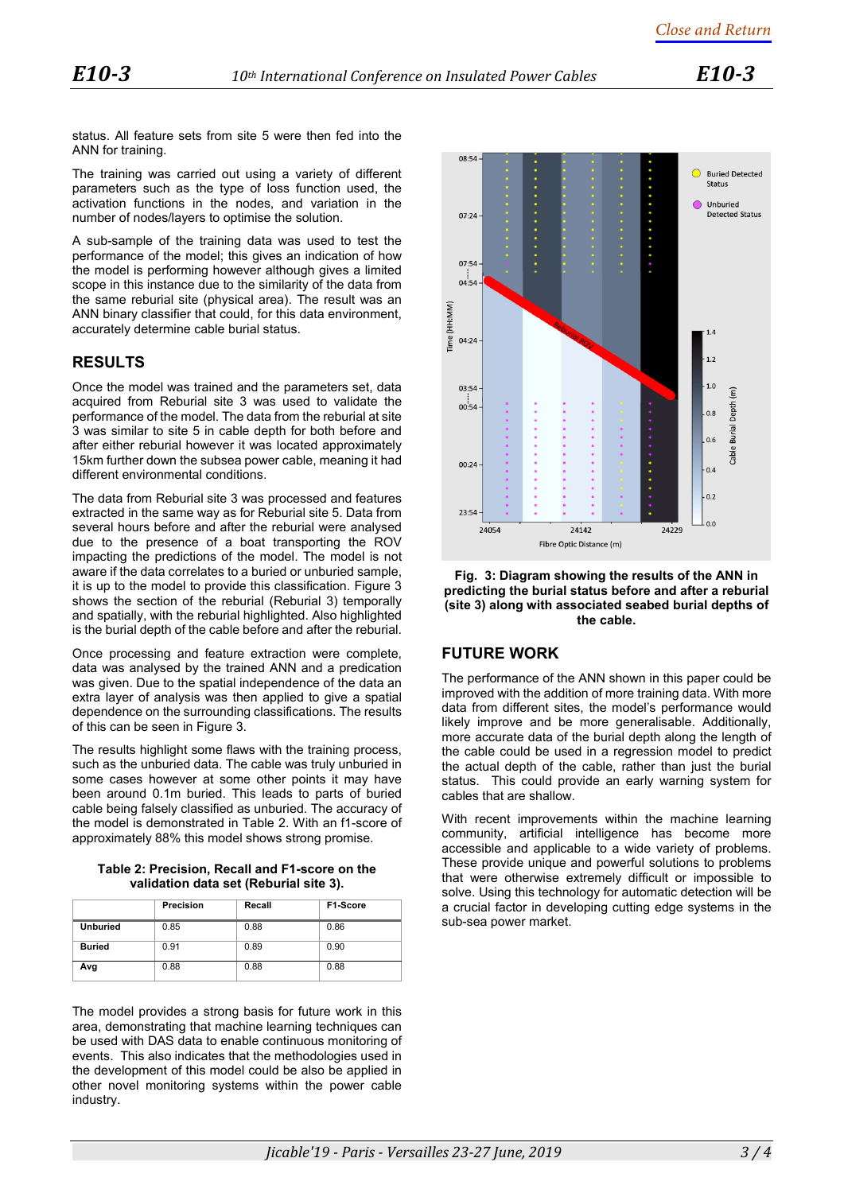status. All feature sets from site 5 were then fed into the ANN for training.

The training was carried out using a variety of different parameters such as the type of loss function used, the activation functions in the nodes, and variation in the number of nodes/layers to optimise the solution.

A sub-sample of the training data was used to test the performance of the model; this gives an indication of how the model is performing however although gives a limited scope in this instance due to the similarity of the data from the same reburial site (physical area). The result was an ANN binary classifier that could, for this data environment, accurately determine cable burial status.

## **RESULTS**

Once the model was trained and the parameters set, data acquired from Reburial site 3 was used to validate the performance of the model. The data from the reburial at site 3 was similar to site 5 in cable depth for both before and after either reburial however it was located approximately 15km further down the subsea power cable, meaning it had different environmental conditions.

The data from Reburial site 3 was processed and features extracted in the same way as for Reburial site 5. Data from several hours before and after the reburial were analysed due to the presence of a boat transporting the ROV impacting the predictions of the model. The model is not aware if the data correlates to a buried or unburied sample, it is up to the model to provide this classification. Figure 3 shows the section of the reburial (Reburial 3) temporally and spatially, with the reburial highlighted. Also highlighted is the burial depth of the cable before and after the reburial.

Once processing and feature extraction were complete, data was analysed by the trained ANN and a predication was given. Due to the spatial independence of the data an extra layer of analysis was then applied to give a spatial dependence on the surrounding classifications. The results of this can be seen in Figure 3.

The results highlight some flaws with the training process, such as the unburied data. The cable was truly unburied in some cases however at some other points it may have been around 0.1m buried. This leads to parts of buried cable being falsely classified as unburied. The accuracy of the model is demonstrated in Table 2. With an f1-score of approximately 88% this model shows strong promise.

**Table 2: Precision, Recall and F1-score on the validation data set (Reburial site 3).** 

|                 | Precision | Recall | F1-Score |
|-----------------|-----------|--------|----------|
| <b>Unburied</b> | 0.85      | 0.88   | 0.86     |
| <b>Buried</b>   | 0.91      | 0.89   | 0.90     |
| Avg             | 0.88      | 0.88   | 0.88     |

The model provides a strong basis for future work in this area, demonstrating that machine learning techniques can be used with DAS data to enable continuous monitoring of events. This also indicates that the methodologies used in the development of this model could be also be applied in other novel monitoring systems within the power cable industry.





## **FUTURE WORK**

The performance of the ANN shown in this paper could be improved with the addition of more training data. With more data from different sites, the model's performance would likely improve and be more generalisable. Additionally, more accurate data of the burial depth along the length of the cable could be used in a regression model to predict the actual depth of the cable, rather than just the burial status. This could provide an early warning system for cables that are shallow.

With recent improvements within the machine learning community, artificial intelligence has become more accessible and applicable to a wide variety of problems. These provide unique and powerful solutions to problems that were otherwise extremely difficult or impossible to solve. Using this technology for automatic detection will be a crucial factor in developing cutting edge systems in the sub-sea power market.